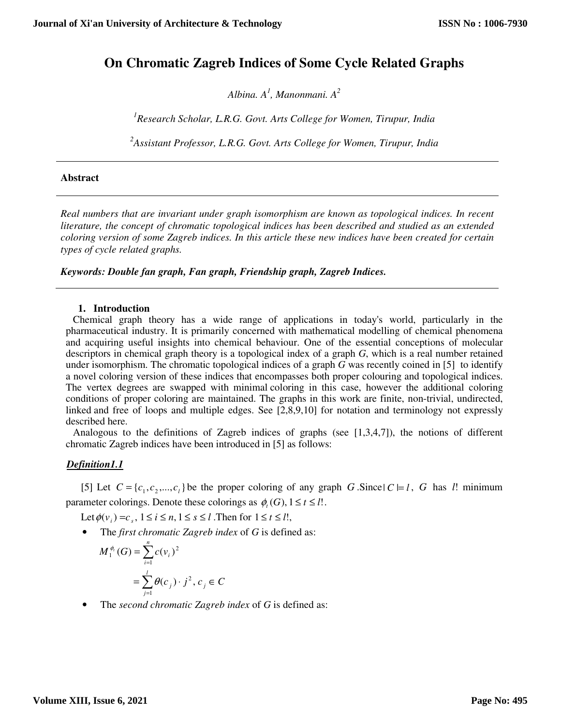# **On Chromatic Zagreb Indices of Some Cycle Related Graphs**

*Albina. A<sup>1</sup> , Manonmani. A<sup>2</sup>*

*<sup>1</sup>Research Scholar, L.R.G. Govt. Arts College for Women, Tirupur, India* 

*<sup>2</sup>Assistant Professor, L.R.G. Govt. Arts College for Women, Tirupur, India* 

## **Abstract**

*Real numbers that are invariant under graph isomorphism are known as topological indices. In recent literature, the concept of chromatic topological indices has been described and studied as an extended coloring version of some Zagreb indices. In this article these new indices have been created for certain types of cycle related graphs.* 

*Keywords: Double fan graph, Fan graph, Friendship graph, Zagreb Indices.* 

## **1. Introduction**

 Chemical graph theory has a wide range of applications in today's world, particularly in the pharmaceutical industry. It is primarily concerned with mathematical modelling of chemical phenomena and acquiring useful insights into chemical behaviour. One of the essential conceptions of molecular descriptors in chemical graph theory is a topological index of a graph *G*, which is a real number retained under isomorphism. The chromatic topological indices of a graph *G* was recently coined in [5] to identify a novel coloring version of these indices that encompasses both proper colouring and topological indices. The vertex degrees are swapped with minimal coloring in this case, however the additional coloring conditions of proper coloring are maintained. The graphs in this work are finite, non-trivial, undirected, linked and free of loops and multiple edges. See [2,8,9,10] for notation and terminology not expressly described here.

 Analogous to the definitions of Zagreb indices of graphs (see [1,3,4,7]), the notions of different chromatic Zagreb indices have been introduced in [5] as follows:

# *Definition1.1*

[5] Let  $C = \{c_1, c_2, ..., c_l\}$  be the proper coloring of any graph *G* . Since  $|C| = l$ , *G* has *l*! minimum parameter colorings. Denote these colorings as  $\phi_r(G)$ ,  $1 \le t \le l!$ .

Let  $\phi(v_i) = c_s$ ,  $1 \le i \le n, 1 \le s \le l$ . Then for  $1 \le t \le l!$ ,

• The *first chromatic Zagreb index* of *G* is defined as:

$$
M_1^{\phi_i}(G) = \sum_{i=1}^n c(v_i)^2
$$
  
=  $\sum_{j=1}^l \theta(c_j) \cdot j^2, c_j \in C$ 

• The *second chromatic Zagreb index* of *G* is defined as: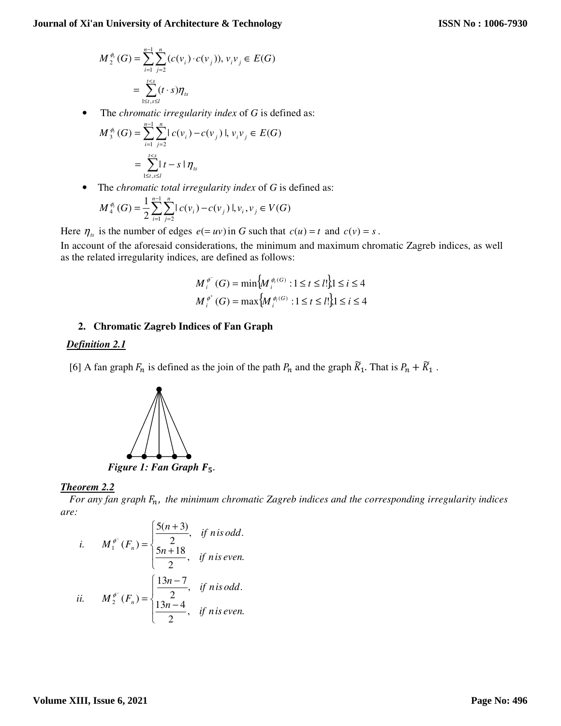$$
M_2^{\phi_i}(G) = \sum_{i=1}^{n-1} \sum_{j=2}^n (c(v_i) \cdot c(v_j)), v_i v_j \in E(G)
$$
  
= 
$$
\sum_{1 \leq t, s \leq l}^{t \leq s} (t \cdot s) \eta_{ts}
$$

• The *chromatic irregularity index* of *G* is defined as:

$$
M_{3}^{\phi_{i}}(G) = \sum_{i=1}^{n-1} \sum_{j=2}^{n} |c(v_{i}) - c(v_{j})|, v_{i}v_{j} \in E(G)
$$
  
= 
$$
\sum_{1 \leq t, s \leq l}^{t < s} |t - s| \eta_{ts}
$$

• The *chromatic total irregularity index* of *G* is defined as:

$$
M_4^{\phi_i}(G) = \frac{1}{2} \sum_{i=1}^{n-1} \sum_{j=2}^n |c(v_i) - c(v_j)|, v_i, v_j \in V(G)
$$

Here  $\eta_{rs}$  is the number of edges  $e(= uv)$  in *G* such that  $c(u) = t$  and  $c(v) = s$ .

In account of the aforesaid considerations, the minimum and maximum chromatic Zagreb indices, as well as the related irregularity indices, are defined as follows:

$$
M_i^{\phi^-}(G) = \min \{ M_i^{\phi_i(G)} : 1 \le t \le l! \} 1 \le i \le 4
$$
  

$$
M_i^{\phi^+}(G) = \max \{ M_i^{\phi_i(G)} : 1 \le t \le l! \} 1 \le i \le 4
$$

## **2. Chromatic Zagreb Indices of Fan Graph**

## *Definition 2.1*

[6] A fan graph  $F_n$  is defined as the join of the path  $P_n$  and the graph  $\tilde{K}_1$ . That is  $P_n + \tilde{K}_1$ .



## *Theorem 2.2*

For any fan graph  $F_n$ , the minimum chromatic Zagreb indices and the corresponding irregularity indices *are:* 

*i.* 
$$
M_1^{\phi^-}(F_n) = \begin{cases} \frac{5(n+3)}{2}, & \text{if n is odd.} \\ \frac{5n+18}{2}, & \text{if n is even.} \end{cases}
$$
  
*ii.*  $M_2^{\phi^-}(F_n) = \begin{cases} \frac{13n-7}{2}, & \text{if n is odd.} \\ \frac{13n-4}{2}, & \text{if n is even.} \end{cases}$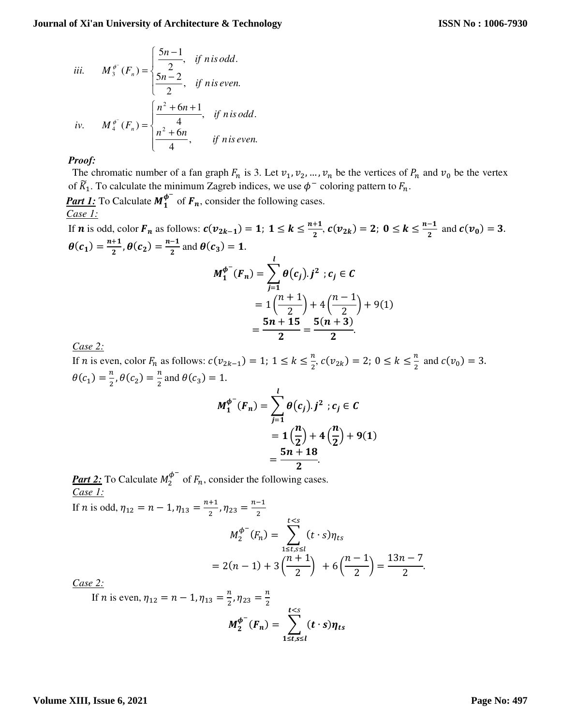iii. 
$$
M_3^{\phi^-}(F_n) = \begin{cases} \frac{5n-1}{2}, & \text{if n is odd.} \\ \frac{5n-2}{2}, & \text{if n is even.} \end{cases}
$$
  
iv.  $M_4^{\phi^-}(F_n) = \begin{cases} \frac{n^2 + 6n + 1}{4}, & \text{if n is odd.} \\ \frac{n^2 + 6n}{4}, & \text{if n is even.} \end{cases}$ 

The chromatic number of a fan graph  $F_n$  is 3. Let  $v_1, v_2, ..., v_n$  be the vertices of  $P_n$  and  $v_0$  be the vertex of  $\widetilde{K}_1$ . To calculate the minimum Zagreb indices, we use  $\phi^-$  coloring pattern to  $F_n$ .

**Part 1:** To Calculate  $M_1^{\phi^-}$  of  $F_n$ , consider the following cases. *Case 1:*

If **n** is odd, color  $F_n$  as follows:  $c(v_{2k-1}) = 1$ ;  $1 \le k \le \frac{n+1}{2}$ ,  $c(v_{2k}) = 2$ ;  $0 \le k \le \frac{n-1}{2}$  and  $c(v_0) = 3$ .  $\theta(c_1) = \frac{n+1}{2}$  $\frac{+1}{2}$ ,  $\theta(c_2) = \frac{n-1}{2}$  $\frac{1}{2}$  and  $\theta(c_3) = 1$ .  $\iota$ 

$$
M_1^{\phi^-}(F_n) = \sum_{j=1}^n \theta(c_j) \cdot j^2 \; ; c_j \in C
$$
  
=  $1\left(\frac{n+1}{2}\right) + 4\left(\frac{n-1}{2}\right) + 9(1)$   
=  $\frac{5n+15}{2} = \frac{5(n+3)}{2}$ .

*Case 2:*

If *n* is even, color  $F_n$  as follows:  $c(v_{2k-1}) = 1$ ;  $1 \le k \le \frac{n}{2}$ ,  $c(v_{2k}) = 2$ ;  $0 \le k \le \frac{n}{2}$  and  $c(v_0) = 3$ .  $\theta(c_1) = \frac{n}{2}, \theta(c_2) = \frac{n}{2}$  and  $\theta(c_3) = 1$ .

$$
M_1^{\phi^-}(F_n) = \sum_{j=1}^l \theta(c_j) . j^2 ; c_j \in C
$$
  
=  $1(\frac{n}{2}) + 4(\frac{n}{2}) + 9(1)$   
=  $\frac{5n + 18}{2}$ .

**Part 2:** To Calculate  $M_2^{\phi^-}$  of  $F_n$ , consider the following cases. *Case 1:*

If *n* is odd, 
$$
\eta_{12} = n - 1
$$
,  $\eta_{13} = \frac{n+1}{2}$ ,  $\eta_{23} = \frac{n-1}{2}$   

$$
M_2^{\phi^-}(F_n) = \sum_{1 \le t,s \le l}^{t
$$
= 2(n-1) + 3\left(\frac{n+1}{2}\right) + 6\left(\frac{n-1}{2}\right) = \frac{13n-7}{2}
$$
Case 2:
$$

*Case 2:*

If *n* is even, 
$$
\eta_{12} = n - 1
$$
,  $\eta_{13} = \frac{n}{2}$ ,  $\eta_{23} = \frac{n}{2}$   

$$
M_2^{\phi^-}(F_n) = \sum_{1 \le t,s \le l}^{t < s} (t \cdot s) \eta_{ts}
$$

.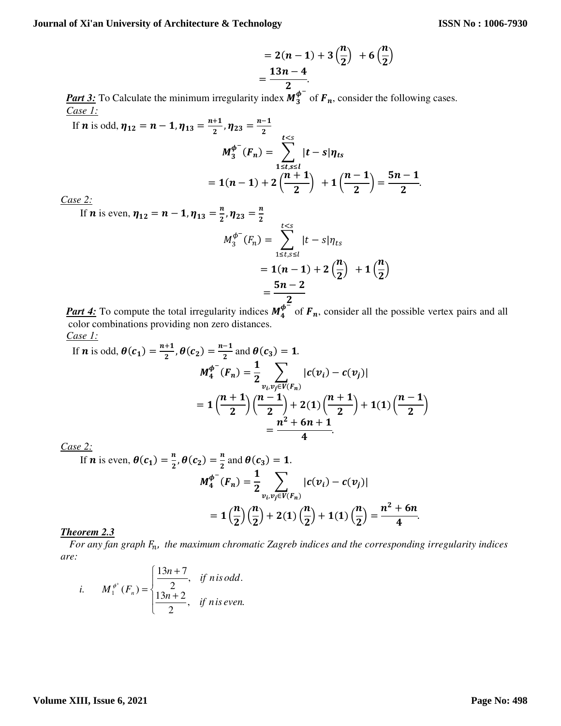$$
= 2(n-1) + 3\left(\frac{n}{2}\right) + 6\left(\frac{n}{2}\right)
$$
  
=  $\frac{13n-4}{2}$ 

*Part 3:* To Calculate the minimum irregularity index  $M_3^{\phi^-}$  of  $F_n$ , consider the following cases. *Case 1:*

If **n** is odd, 
$$
\eta_{12} = n - 1
$$
,  $\eta_{13} = \frac{n+1}{2}$ ,  $\eta_{23} = \frac{n-1}{2}$   
\n
$$
M_3^{\phi^-}(F_n) = \sum_{1 \le t,s \le l}^{\infty} |t-s|\eta_{ts}
$$
\n
$$
= 1(n-1) + 2\left(\frac{n+1}{2}\right) + 1\left(\frac{n-1}{2}\right) = \frac{5n-1}{2}.
$$
\nsee 2:

*Case 2:*

If **n** is even, 
$$
\eta_{12} = n - 1
$$
,  $\eta_{13} = \frac{n}{2}$ ,  $\eta_{23} = \frac{n}{2}$   
\n
$$
M_3^{\phi^-}(F_n) = \sum_{1 \le t,s \le l}^{t\n
$$
= 1(n-1) + 2\left(\frac{n}{2}\right) + 1\left(\frac{n}{2}\right)
$$
\n
$$
= \frac{5n-2}{4\pi}.
$$
$$

*Part 4:* To compute the total irregularity indices  $M_4^{\phi^-}$  of  $F_n$ , consider all the possible vertex pairs and all color combinations providing non zero distances. *Case 1:*

If **n** is odd, 
$$
\theta(c_1) = \frac{n+1}{2}
$$
,  $\theta(c_2) = \frac{n-1}{2}$  and  $\theta(c_3) = 1$ .  
\n
$$
M_4^{\phi^-}(F_n) = \frac{1}{2} \sum_{\substack{v_i, v_j \in V(F_n) \\ v_j \neq v_F(\frac{n}{2})}} |c(v_i) - c(v_j)|
$$
\n
$$
= 1 \left( \frac{n+1}{2} \right) \left( \frac{n-1}{2} \right) + 2(1) \left( \frac{n+1}{2} \right) + 1(1) \left( \frac{n-1}{2} \right)
$$

*Case 2:*

If **n** is even, 
$$
\theta(c_1) = \frac{n}{2}
$$
,  $\theta(c_2) = \frac{n}{2}$  and  $\theta(c_3) = 1$ .  
\n
$$
M_4^{\phi^-}(F_n) = \frac{1}{2} \sum_{v_i, v_j \in V(F_n)} |c(v_i) - c(v_j)|
$$
\n
$$
= 1\left(\frac{n}{2}\right)\left(\frac{n}{2}\right) + 2(1)\left(\frac{n}{2}\right) + 1(1)\left(\frac{n}{2}\right) = \frac{n^2 + 6n}{4}.
$$

## *Theorem 2.3*

For any fan graph  $F_n$ , the maximum chromatic Zagreb indices and the corresponding irregularity indices *are:* 

*i.* 
$$
M_1^{\phi^+}(F_n) = \begin{cases} \frac{13n+7}{2}, & \text{if n is odd.} \\ \frac{13n+2}{2}, & \text{if n is even.} \end{cases}
$$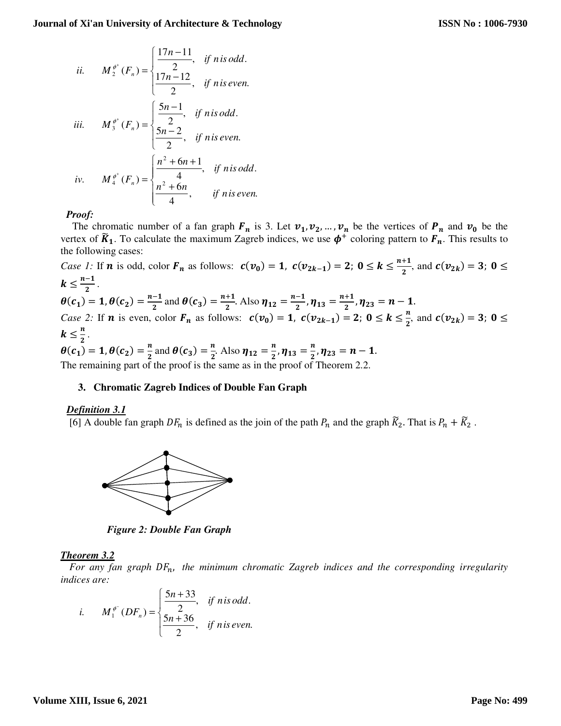*ii.* 
$$
M_2^{\phi^*}(F_n) = \begin{cases} \frac{17n-11}{2}, & \text{if n is odd.} \\ \frac{17n-12}{2}, & \text{if n is even.} \end{cases}
$$
  
*iii.*  $M_3^{\phi^*}(F_n) = \begin{cases} \frac{5n-1}{2}, & \text{if n is odd.} \\ \frac{5n-2}{2}, & \text{if n is even.} \end{cases}$   
*iv.*  $M_4^{\phi^*}(F_n) = \begin{cases} \frac{n^2+6n+1}{4}, & \text{if n is odd.} \\ \frac{n^2+6n}{4}, & \text{if n is even.} \end{cases}$ 

The chromatic number of a fan graph  $F_n$  is 3. Let  $v_1, v_2, ..., v_n$  be the vertices of  $P_n$  and  $v_0$  be the vertex of  $\tilde{K}_1$ . To calculate the maximum Zagreb indices, we use  $\phi^+$  coloring pattern to  $F_n$ . This results to the following cases:

*Case 1*: If **n** is odd, color  $F_n$  as follows:  $c(v_0) = 1$ ,  $c(v_{2k-1}) = 2$ ;  $0 \le k \le \frac{n+1}{2}$ , and  $c(v_{2k}) = 3$ ;  $0 \le k \le \frac{n+1}{2}$  $k \leq \frac{n-1}{2}$ .  $\mathbf{z}$  $\theta(c_1) = 1, \theta(c_2) = \frac{n-1}{2}$  $\frac{-1}{2}$  and  $\theta(c_3) = \frac{n+1}{2}$  $\frac{+1}{2}$ . Also  $\eta_{12} = \frac{n-1}{2}$  $\frac{-1}{2}$ ,  $\eta_{13} = \frac{n+1}{2}$  $\frac{1}{2}$ ,  $\eta_{23} = n - 1$ . *Case 2:* If **n** is even, color  $F_n$  as follows:  $c(v_0) = 1$ ,  $c(v_{2k-1}) = 2$ ;  $0 \le k \le \frac{n}{2}$ , and  $c(v_{2k}) = 3$ ;  $0 \le k \le \frac{n}{2}$  $k \leq \frac{n}{2}$ .  $\mathbf{z}$  $\theta(c_1) = 1, \theta(c_2) = \frac{n}{2}$  $\frac{n}{2}$  and  $\theta(c_3) = \frac{n}{2}$  $\frac{n}{2}$ . Also  $\eta_{12} = \frac{n}{2}$  $\frac{n}{2}$ ,  $\eta_{13} = \frac{n}{2}$  $\frac{n}{2}$ ,  $\eta_{23} = n - 1$ . The remaining part of the proof is the same as in the proof of Theorem 2.2.

# **3. Chromatic Zagreb Indices of Double Fan Graph**

## *Definition 3.1*

[6] A double fan graph  $DF_n$  is defined as the join of the path  $P_n$  and the graph  $\tilde{K}_2$ . That is  $P_n + \tilde{K}_2$ .



*Figure 2: Double Fan Graph* 

# *Theorem 3.2*

For any fan graph  $DF_n$ , the minimum chromatic Zagreb indices and the corresponding irregularity *indices are:* 

*i.* 
$$
M_1^{\phi^-}(DF_n) = \begin{cases} \frac{5n+33}{2}, & \text{if n is odd.} \\ \frac{5n+36}{2}, & \text{if n is even.} \end{cases}
$$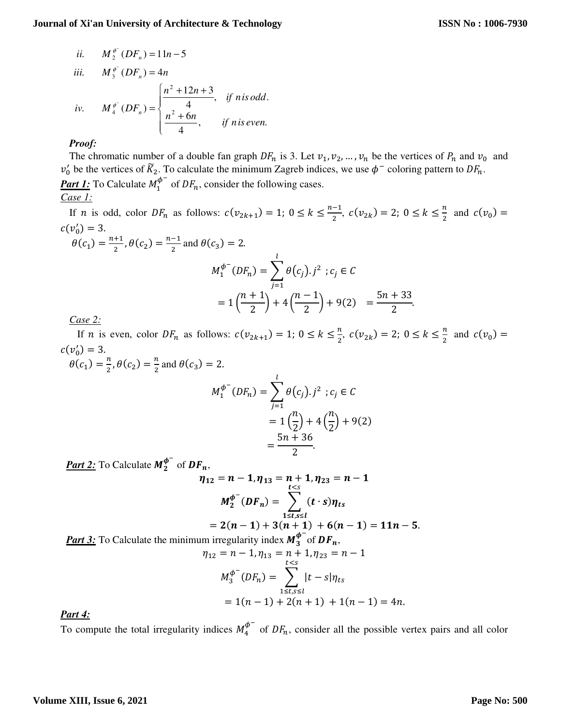ii. 
$$
M_2^{\phi^-}(DF_n) = 11n - 5
$$
  
\niii.  $M_3^{\phi^-}(DF_n) = 4n$   
\niv.  $M_4^{\phi^-}(DF_n) = \begin{cases} \frac{n^2 + 12n + 3}{4}, & \text{if n is odd.} \\ \frac{n^2 + 6n}{4}, & \text{if n is even.} \end{cases}$ 

The chromatic number of a double fan graph  $DF_n$  is 3. Let  $v_1, v_2, ..., v_n$  be the vertices of  $P_n$  and  $v_0$  and  $v'_0$  be the vertices of  $\tilde{K}_2$ . To calculate the minimum Zagreb indices, we use  $\phi^-$  coloring pattern to  $DF_n$ . **Part 1:** To Calculate  $M_1^{\phi^-}$  of  $DF_n$ , consider the following cases. *Case 1:*

If *n* is odd, color  $DF_n$  as follows:  $c(v_{2k+1}) = 1$ ;  $0 \le k \le \frac{n-1}{2}$  $\frac{-1}{2}$ ,  $c(v_{2k}) = 2$ ;  $0 \le k \le \frac{n}{2}$  and  $c(v_0) =$  $c(v_0') = 3.$  $\theta$ (c

$$
M_1 = \frac{n+1}{2}, \theta(c_2) = \frac{n-1}{2} \text{ and } \theta(c_3) = 2.
$$
\n
$$
M_1^{\phi^-}(DF_n) = \sum_{j=1}^l \theta(c_j).j^2 \; ; c_j \in C
$$
\n
$$
= 1\left(\frac{n+1}{2}\right) + 4\left(\frac{n-1}{2}\right) + 9(2) = \frac{5n+33}{2}.
$$

*Case 2:*

If *n* is even, color  $DF_n$  as follows:  $c(v_{2k+1}) = 1$ ;  $0 \le k \le \frac{n}{2}$ ,  $c(v_{2k}) = 2$ ;  $0 \le k \le \frac{n}{2}$  and  $c(v_0) =$  $c(v_0') = 3.$ 

 $\theta(c_1) = \frac{n}{2}, \theta(c_2) = \frac{n}{2}$  and  $\theta(c_3) = 2$ .

$$
M_1^{\phi^-}(DF_n) = \sum_{j=1}^l \theta(c_j) \cdot j^2 \, ; c_j \in C
$$
  
=  $1\left(\frac{n}{2}\right) + 4\left(\frac{n}{2}\right) + 9(2)$   
=  $\frac{5n + 36}{2}$ .

**Part 2:** To Calculate  $M_2^{\phi^-}$  of  $DF_n$ ,

$$
\eta_{12} = n - 1, \eta_{13} = n + 1, \eta_{23} = n - 1
$$
  

$$
M_2^{\phi^-}(DF_n) = \sum_{\substack{1 \le t,s \le l \\ 1 \le t,s \le l}} (t \cdot s) \eta_{ts}
$$
  

$$
= 2(n - 1) + 3(n + 1) + 6(n - 1) = 11n - 5.
$$
  
the minimum irregularity index  $M_3^{\phi^-}$  of  $DF_n$ ,

*Part 3:* To Calculate the minim

$$
\eta_{12} = n - 1, \eta_{13} = n + 1, \eta_{23} = n - 1
$$

$$
M_3^{\phi^-}(DF_n) = \sum_{1 \le t, s \le l}^{\infty} |t - s|\eta_{ts}
$$

$$
= 1(n - 1) + 2(n + 1) + 1(n - 1) = 4n.
$$

*Part 4:* 

To compute the total irregularity indices  $M_4^{\phi^-}$  of  $DF_n$ , consider all the possible vertex pairs and all color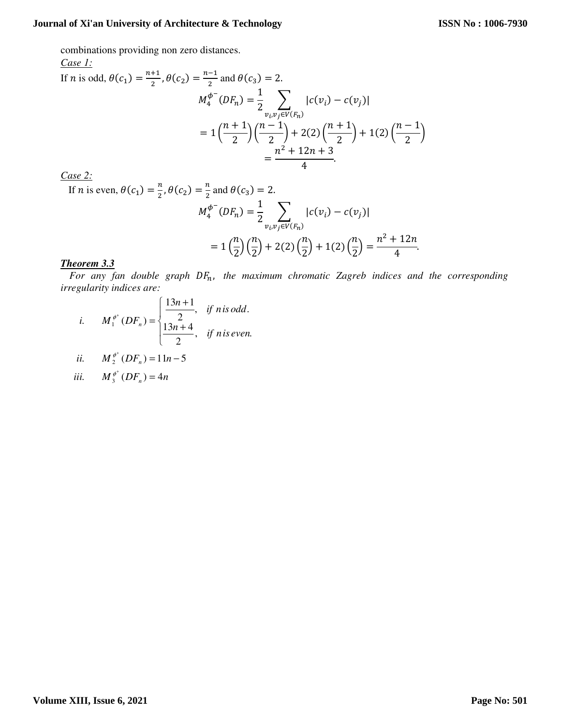combinations providing non zero distances.

Case 1:  
\nIf *n* is odd, 
$$
\theta(c_1) = \frac{n+1}{2}
$$
,  $\theta(c_2) = \frac{n-1}{2}$  and  $\theta(c_3) = 2$ .  
\n
$$
M_4^{\phi^-}(DF_n) = \frac{1}{2} \sum_{\substack{v_i v_j \in V(F_n) \\ \text{if } i \neq j}} |c(v_i) - c(v_j)|
$$
\n
$$
= 1 \left(\frac{n+1}{2}\right) \left(\frac{n-1}{2}\right) + 2(2) \left(\frac{n+1}{2}\right) + 1(2) \left(\frac{n-1}{2}\right)
$$
\n
$$
= \frac{n^2 + 12n + 3}{4}.
$$

*Case 2:*

If *n* is even,  $\theta(c_1) = \frac{n}{2}, \theta(c_2) = \frac{n}{2}$  and  $\theta(c_3) = 2$ .

$$
M_4^{\phi^-}(DF_n) = \frac{1}{2} \sum_{v_i v_j \in V(F_n)} |c(v_i) - c(v_j)|
$$
  
=  $1 \left(\frac{n}{2}\right) \left(\frac{n}{2}\right) + 2(2) \left(\frac{n}{2}\right) + 1(2) \left(\frac{n}{2}\right) = \frac{n^2 + 12n}{4}.$ 

# *Theorem 3.3*

For any fan double graph  $DF_n$ , the maximum chromatic Zagreb indices and the corresponding *irregularity indices are:* 

*i.* 
$$
M_1^{\phi^+}(DF_n) = \begin{cases} \frac{13n+1}{2}, & \text{if n is odd.} \\ \frac{13n+4}{2}, & \text{if n is even.} \end{cases}
$$

*ii.* 
$$
M_2^{\phi^+}(DF_n) = 11n - 5
$$

$$
iii. \qquad M_3^{\phi^+}(DF_n) = 4n
$$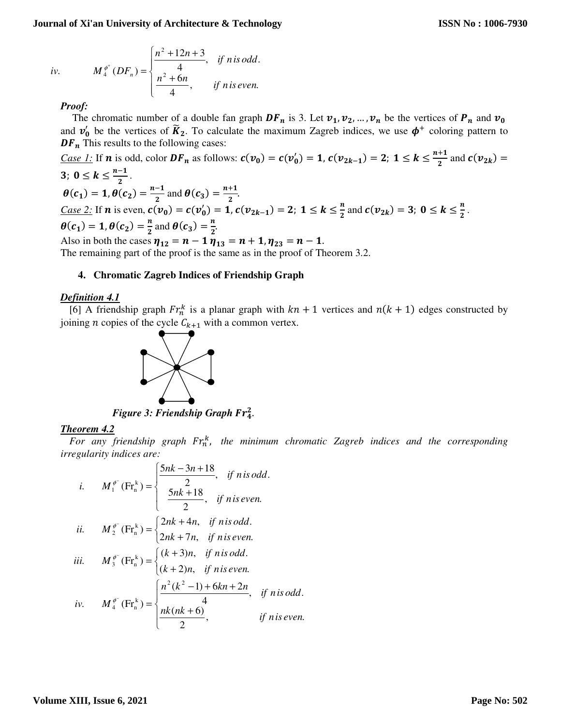*iv.* 
$$
M_4^{\phi^+}(DF_n) = \begin{cases} \frac{n^2 + 12n + 3}{4}, & \text{if } n \text{ is odd.} \\ \frac{n^2 + 6n}{4}, & \text{if } n \text{ is even.} \end{cases}
$$

The chromatic number of a double fan graph  $DF_n$  is 3. Let  $v_1, v_2, ..., v_n$  be the vertices of  $P_n$  and  $v_0$ and  $v'_0$  be the vertices of  $\tilde{K}_2$ . To calculate the maximum Zagreb indices, we use  $\phi^+$  coloring pattern to  $DF_n$  This results to the following cases:

*Case 1*: If **n** is odd, color  $DF_n$  as follows:  $c(v_0) = c(v'_0) = 1$ ,  $c(v_{2k-1}) = 2$ ;  $1 \le k \le \frac{n+1}{2}$  and  $c(v_{2k}) =$ 3;  $0 \leq k \leq \frac{n-1}{2}$ .  $\theta(c_1) = 1, \theta(c_2) = \frac{n-1}{2}$  and  $\theta(c_3) = \frac{n+1}{2}$ . 2  $\sim$   $\frac{3}{2}$ *Case 2:* If **n** is even,  $c(v_0) = c(v'_0) = 1$ ,  $c(v_{2k-1}) = 2$ ;  $1 \le k \le \frac{n}{2}$  and  $c(v_{2k}) = 3$ ;  $0 \le k \le \frac{n}{2}$ .  $\theta(c_1) = 1, \theta(c_2) = \frac{n}{2}$  $\frac{n}{2}$  and  $\theta(c_3) = \frac{n}{2}$  $\frac{n}{2}$ .

Also in both the cases  $\eta_{12} = n - 1 \eta_{13} = n + 1$ ,  $\eta_{23} = n - 1$ .

The remaining part of the proof is the same as in the proof of Theorem 3.2.

# **4. Chromatic Zagreb Indices of Friendship Graph**

# *Definition 4.1*

[6] A friendship graph  $Fr_n^k$  is a planar graph with  $kn + 1$  vertices and  $n(k + 1)$  edges constructed by joining *n* copies of the cycle  $C_{k+1}$  with a common vertex.



**Figure 3: Friendship Graph Fr**<sup>2</sup><sub>4</sub>.

# *Theorem 4.2*

For any friendship graph Fr<sub>n</sub><sup>k</sup>, the minimum chromatic Zagreb indices and the corresponding *irregularity indices are:* 

*i.* 
$$
M_1^{\phi^-}(\text{Fr}_n^k) = \begin{cases} \frac{5nk - 3n + 18}{2}, & \text{if n is odd.} \\ \frac{5nk + 18}{2}, & \text{if n is even.} \end{cases}
$$
  
\n*ii.*  $M_2^{\phi^-}(\text{Fr}_n^k) = \begin{cases} 2nk + 4n, & \text{if n is odd.} \\ 2nk + 7n, & \text{if n is even.} \end{cases}$   
\n*iii.*  $M_3^{\phi^-}(\text{Fr}_n^k) = \begin{cases} (k + 3)n, & \text{if n is odd.} \\ (k + 2)n, & \text{if n is even.} \end{cases}$   
\n*iv.*  $M_4^{\phi^-}(\text{Fr}_n^k) = \begin{cases} \frac{n^2(k^2 - 1) + 6kn + 2n}{4}, & \text{if n is odd.} \\ \frac{nk(nk + 6)}{2}, & \text{if n is even.} \end{cases}$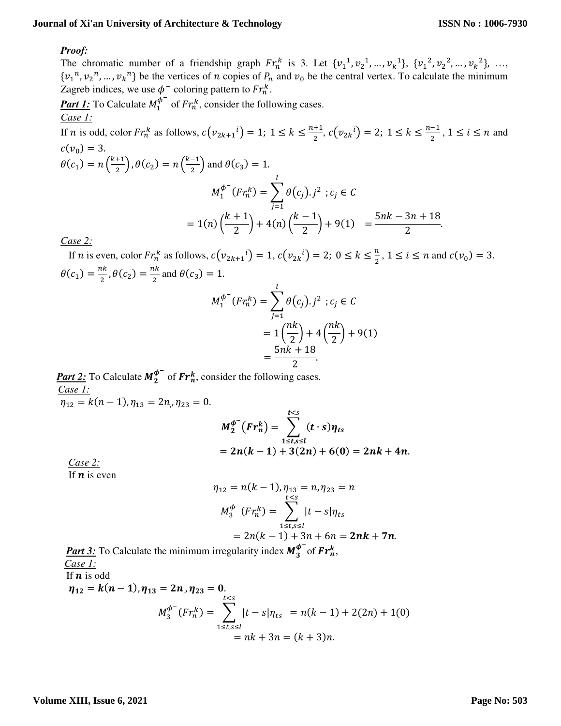## *Proof:*

The chromatic number of a friendship graph  $Fr_n^k$  is 3. Let  $\{v_1^1, v_2^1, ..., v_k^1\}, \{v_1^2, v_2^2, ..., v_k^2\}, ...,$  $\{v_1^n, v_2^n, ..., v_k^n\}$  be the vertices of *n* copies of  $P_n$  and  $v_0$  be the central vertex. To calculate the minimum Zagreb indices, we use  $\phi^-$  coloring pattern to  $Fr_n^k$ .

**Part 1:** To Calculate  $M_1^{\phi^-}$  of  $Fr_n^k$ , consider the following cases. *Case 1:*

If *n* is odd, color  $Fr_n^k$  as follows,  $c(v_{2k+1}^i) = 1$ ;  $1 \leq k \leq \frac{n+1}{2}$  $\frac{+1}{2}$ ,  $c(v_{2k}^i) = 2$ ;  $1 \le k \le \frac{n-1}{2}$  $\frac{-1}{2}$ ,  $1 \le i \le n$  and  $c(v_0) = 3.$  $\theta(c_1) = n\left(\frac{k+1}{2}\right), \theta(c_2) = n\left(\frac{k-1}{2}\right)$  and  $\theta(c_3) = 1$ .

$$
M_1^{\phi^-}(Fr_h^k) = \sum_{j=1}^l \theta(c_j).j^2 \; ; c_j \in C
$$
  
=  $1(n) \left(\frac{k+1}{2}\right) + 4(n) \left(\frac{k-1}{2}\right) + 9(1) = \frac{5nk - 3n + 18}{2}.$ 

*Case 2:*

If *n* is even, color  $Fr_n^k$  as follows,  $c(v_{2k+1}^i) = 1$ ,  $c(v_{2k}^i) = 2$ ;  $0 \le k \le \frac{n}{2}$ ,  $1 \le i \le n$  and  $c(v_0) = 3$ .  $\theta(c_1) = \frac{nk}{2}$  $\frac{ik}{2}$ ,  $\theta(c_2) = \frac{nk}{2}$  $\frac{a}{2}$  and  $\theta(c_3) = 1$ .

$$
M_1^{\phi^-}(Fr_n^k) = \sum_{j=1}^l \theta(c_j).j^2 \; ; c_j \in C
$$
  
=  $1\left(\frac{nk}{2}\right) + 4\left(\frac{nk}{2}\right) + 9(1)$   
=  $\frac{5nk + 18}{2}$ .

**Part 2:** To Calculate  $M_2^{\phi^-}$  of  $Fr_n^k$ , consider the following cases. *Case 1:*  $\eta_{12} = k(n-1), \eta_{13} = 2n, \eta_{23} = 0.$ 

$$
M_2^{\phi^-}(Fr_n^k) = \sum_{1 \leq t,s \leq l}^{t < s} (t \cdot s) \eta_{ts}
$$
  
= 2n(k-1) + 3(2n) + 6(0) = 2nk + 4n.

*Case 2:* If  $\boldsymbol{n}$  is even

$$
\eta_{12} = n(k - 1), \eta_{13} = n, \eta_{23} = n
$$
  

$$
M_3^{\phi^-}(Fr_n^k) = \sum_{1 \le t, s \le l}^{\xi \le s} |t - s| \eta_{ts}
$$
  

$$
= 2n(k - 1) + 3n + 6n = 2nk + 7n.
$$

**Part 3:** To Calculate the minimum irregularity index  $M_3^{\phi^-}$  of  $Fr_n^k$ , *Case 1:* If  $\boldsymbol{n}$  is odd  $\eta_{12} = k(n-1), \eta_{13} = 2n, \eta_{23} = 0.$  $M_3^{\phi^-}(Fr_n^k) = \sum |t-s|\eta_{ts}$  $t < s$ 1≤ $t,s$ ≤l  $= n(k - 1) + 2(2n) + 1(0)$  $= nk + 3n = (k + 3)n.$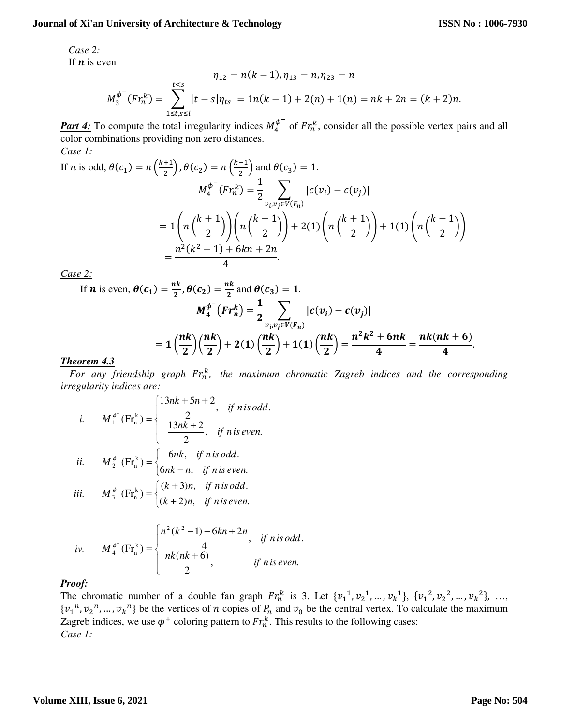*Case 2:*

If  $\boldsymbol{n}$  is even

$$
\eta_{12} = n(k-1), \eta_{13} = n, \eta_{23} = n
$$
  

$$
M_3^{\phi^-}(Fr_n^k) = \sum_{1 \le t,s \le l}^{t
$$

*Part 4:* To compute the total irregularity indices  $M_4^{\phi^-}$  of  $Fr_h^k$ , consider all the possible vertex pairs and all color combinations providing non zero distances. *Case 1:*

If *n* is odd, 
$$
\theta(c_1) = n\left(\frac{k+1}{2}\right), \theta(c_2) = n\left(\frac{k-1}{2}\right)
$$
 and  $\theta(c_3) = 1$ .  
\n
$$
M_4^{\phi^-}(Fr_n^k) = \frac{1}{2} \sum_{v_i, v_j \in V(F_n)} |c(v_i) - c(v_j)|
$$
\n
$$
= 1\left(n\left(\frac{k+1}{2}\right)\right)\left(n\left(\frac{k-1}{2}\right)\right) + 2(1)\left(n\left(\frac{k+1}{2}\right)\right) + 1(1)\left(n\left(\frac{k-1}{2}\right)\right)
$$
\n
$$
= \frac{n^2(k^2 - 1) + 6kn + 2n}{4}.
$$

*Case 2:*

If  $n$ 

$$
\begin{aligned} \mathbf{u} \text{ is even, } \theta(c_1) &= \frac{n k}{2}, \theta(c_2) = \frac{n k}{2} \text{ and } \theta(c_3) = 1. \\ M_4^{\phi^-} \big( Fr_n^k \big) &= \frac{1}{2} \sum_{v_i, v_j \in V(F_n)} |c(v_i) - c(v_j)| \\ &= 1 \left( \frac{n k}{2} \right) \left( \frac{n k}{2} \right) + 2(1) \left( \frac{n k}{2} \right) + 1(1) \left( \frac{n k}{2} \right) = \frac{n^2 k^2 + 6nk}{4} = \frac{n k (nk + 6)}{4}. \end{aligned}
$$

## *Theorem 4.3*

For any friendship graph Fr<sub>n</sub><sup>k</sup>, the maximum chromatic Zagreb indices and the corresponding *irregularity indices are:* 

*i.* 
$$
M_1^{\phi^+}(\text{Fr}_n^k) = \begin{cases} \frac{13nk + 5n + 2}{2}, & \text{if } n \text{ is odd.} \\ \frac{13nk + 2}{2}, & \text{if } n \text{ is even.} \end{cases}
$$
  
\n*ii.*  $M_2^{\phi^+}(\text{Fr}_n^k) = \begin{cases} 6nk, & \text{if } n \text{ is odd.} \\ 6nk - n, & \text{if } n \text{ is even.} \end{cases}$   
\n*iii.*  $M_3^{\phi^+}(\text{Fr}_n^k) = \begin{cases} (k + 3)n, & \text{if } n \text{ is odd.} \\ (k + 2)n, & \text{if } n \text{ is even.} \end{cases}$ 

*iv.* 
$$
M_4^{\phi^+}(\text{Fr}_n^k) = \begin{cases} \frac{n^2(k^2-1) + 6kn + 2n}{4}, & \text{if } n \text{ is odd.} \\ \frac{nk(nk+6)}{2}, & \text{if } n \text{ is even.} \end{cases}
$$

# *Proof:*

The chromatic number of a double fan graph  $Fr_n^k$  is 3. Let  $\{v_1^1, v_2^1, ..., v_k^1\}, \{v_1^2, v_2^2, ..., v_k^2\}, ...,$  $\{v_1^n, v_2^n, ..., v_k^n\}$  be the vertices of *n* copies of  $P_n$  and  $v_0$  be the central vertex. To calculate the maximum Zagreb indices, we use  $\phi^+$  coloring pattern to  $Fr_n^k$ . This results to the following cases: *Case 1:*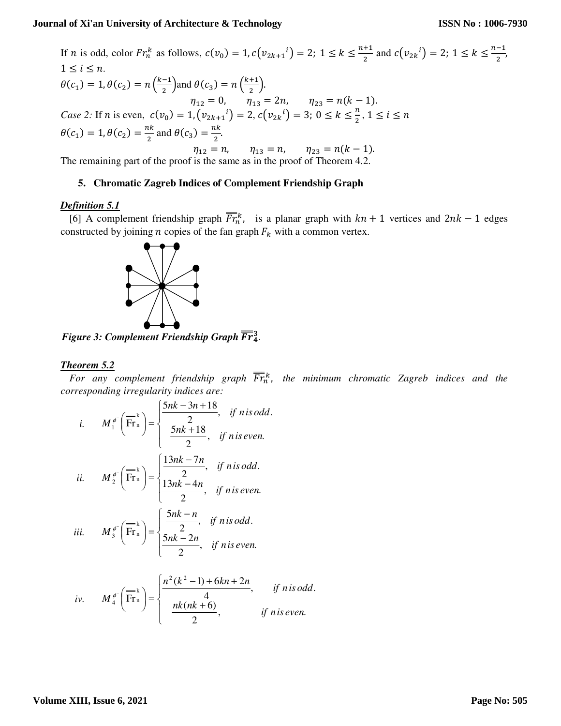$\frac{1}{2}$ ,

If *n* is odd, color  $Fr_n^k$  as follows,  $c(v_0) = 1, c(v_{2k+1}^i) = 2$ ;  $1 \le k \le \frac{n+1}{2}$  $\frac{+1}{2}$  and  $c(v_{2k}^i) = 2$ ;  $1 \le k \le \frac{n-1}{2}$  $1 \leq i \leq n$ .  $\theta(c_1) = 1, \theta(c_2) = n\left(\frac{k-1}{2}\right)$  and  $\theta(c_3) = n\left(\frac{k+1}{2}\right)$ . 2  $\sqrt{2}$  $\eta_{12} = 0, \quad \eta_{13} = 2n, \quad \eta_{23} = n(k-1).$ *Case 2:* If *n* is even,  $c(v_0) = 1$ ,  $(v_{2k+1}^i) = 2$ ,  $c(v_{2k}^i) = 3$ ;  $0 \le k \le \frac{n}{2}$ ,  $1 \le i \le n$  $\theta(c_1) = 1, \theta(c_2) = \frac{nk}{2}$  $\frac{ak}{2}$  and  $\theta(c_3) = \frac{nk}{2}$  $\frac{1}{2}$ .  $\eta_{12} = n,$   $\eta_{13} = n,$   $\eta_{23} = n(k-1).$ 

The remaining part of the proof is the same as in the proof of Theorem 4.2.

#### **5. Chromatic Zagreb Indices of Complement Friendship Graph**

## *Definition 5.1*

[6] A complement friendship graph  $\overline{Fr}_n^k$ , is a planar graph with  $kn + 1$  vertices and  $2nk - 1$  edges constructed by joining  $n$  copies of the fan graph  $F_k$  with a common vertex.



**Figure 3: Complement Friendship Graph**  $\overline{Fr}_4^3$ .

## *Theorem 5.2*

For any complement friendship graph  $\overline{Fr}^k_n$ , the minimum chromatic Zagreb indices and the *corresponding irregularity indices are:* 

*i.* + − + = − , . 2 5 18 , . 2 5 3 18 Fr k n 1 *if isn even nk if isn odd nk <sup>n</sup> M* φ *ii.* − − = − , . 2 13 4 , . 2 13 7 Fr k n 2 *if isn even nk n if isn odd nk <sup>n</sup> M* φ *iii.* − − = − , . 2 5 2 , . 2 5 Fr k n 3 *if isn even nk n if isn odd nk <sup>n</sup> M* φ

*iv.* 
$$
M_4^{\phi^-}\left(\overline{\text{Fr}}_n^k\right) = \begin{cases} \frac{n^2(k^2-1)+6kn+2n}{4}, & \text{if nis odd.} \\ \frac{nk(nk+6)}{2}, & \text{if niseven.} \end{cases}
$$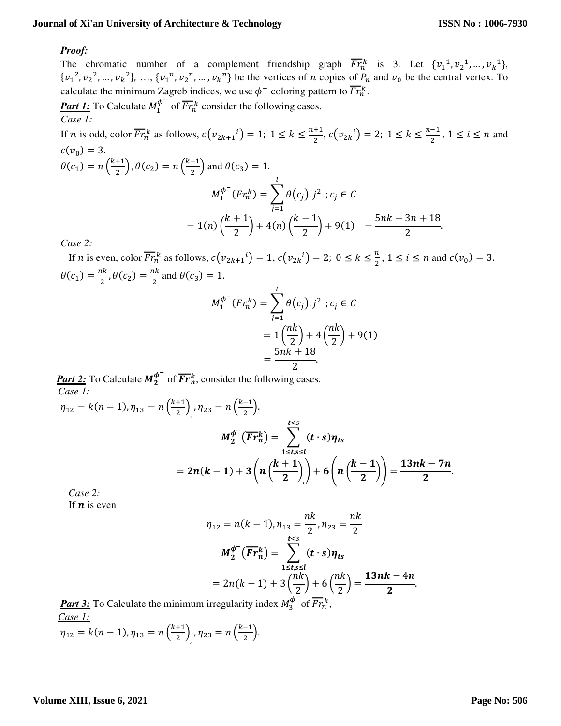### *Proof:*

The chromatic number of a complement friendship graph  $\overline{Fr}^k_n$  is 3. Let  $\{v_1^1, v_2^1, ..., v_k^1\}$ ,  $\{v_1^2, v_2^2, ..., v_k^2\}, ..., \{v_1^n, v_2^n, ..., v_k^n\}$  be the vertices of *n* copies of  $P_n$  and  $v_0$  be the central vertex. To calculate the minimum Zagreb indices, we use  $\phi^-$  coloring pattern to  $\overline{Fr}_n^k$ .

**Part 1:** To Calculate  $M_1^{\phi^-}$  of  $\overline{Fr}_n^k$  consider the following cases. *Case 1:*

If *n* is odd, color  $\overline{Fr}_n^k$  as follows,  $c(v_{2k+1}^i) = 1$ ;  $1 \leq k \leq \frac{n+1}{2}$  $\frac{+1}{2}$ ,  $c(v_{2k}^i) = 2$ ;  $1 \le k \le \frac{n-1}{2}$  $\frac{-1}{2}$ ,  $1 \le i \le n$  and  $c(v_0) = 3.$  $\theta(c_1) = n\left(\frac{k+1}{2}\right), \theta(c_2) = n\left(\frac{k-1}{2}\right)$  and  $\theta(c_3) = 1$ .  $M_1^{\phi^-}(Fr_n^k) = \sum \theta(c_j).j^2$  $\iota$ ;  $c_j \in C$ 

$$
m_1 \t(r_1 n) - \sum_{j=1}^{n} \theta(i_j n) \cdot r_j = 0
$$
  
=  $1(n) \left( \frac{k+1}{2} \right) + 4(n) \left( \frac{k-1}{2} \right) + 9(1) = \frac{5nk - 3n + 18}{2}$ .

*Case 2:*

If *n* is even, color  $\overline{Fr}_n^k$  as follows,  $c(v_{2k+1}^i) = 1$ ,  $c(v_{2k}^i) = 2$ ;  $0 \le k \le \frac{n}{2}$ ,  $1 \le i \le n$  and  $c(v_0) = 3$ .  $\theta(c_1) = \frac{nk}{2}$  $\frac{ik}{2}$ ,  $\theta(c_2) = \frac{nk}{2}$  $\frac{a}{2}$  and  $\theta(c_3) = 1$ .

$$
M_1^{\phi^-}(Fr_n^k) = \sum_{j=1}^l \theta(c_j) . j^2 ; c_j \in \mathcal{C}
$$
  
=  $1\left(\frac{nk}{2}\right) + 4\left(\frac{nk}{2}\right) + 9(1)$   
=  $\frac{5nk + 18}{2}$ .

**Part 2:** To Calculate  $M_2^{\phi^-}$  of  $\overline{Fr}_n^k$ , consider the following cases. *Case 1:*

$$
\eta_{12} = k(n-1), \eta_{13} = n\left(\frac{k+1}{2}\right), \eta_{23} = n\left(\frac{k-1}{2}\right).
$$
\n
$$
M_2^{\phi^-}(\overline{Fr}_n^k) = \sum_{1 \le t,s \le l}^{t < s} (t \cdot s) \eta_{ts}
$$
\n
$$
= 2n(k-1) + 3\left(n\left(\frac{k+1}{2}\right)\right) + 6\left(n\left(\frac{k-1}{2}\right)\right) = \frac{13nk - 7n}{2}.
$$

*Case 2:* If  $\boldsymbol{n}$  is even

$$
\eta_{12} = n(k - 1), \eta_{13} = \frac{nk}{2}, \eta_{23} = \frac{nk}{2}
$$

$$
M_2^{\phi^-}(\overline{Fr}_n^k) = \sum_{1 \le t, s \le l}^{t < s} (t \cdot s) \eta_{ts}
$$

$$
= 2n(k - 1) + 3\left(\frac{nk}{2}\right) + 6\left(\frac{nk}{2}\right) = \frac{13nk - 4n}{2}
$$

**Part 3:** To Calculate the minimum irregularity index  $M_3^{\phi^-}$  of  $\overline{Fr}_n^k$ , *Case 1:*  $\eta_{12} = k(n-1), \eta_{13} = n\left(\frac{k+1}{2}\right), \eta_{23} = n\left(\frac{k-1}{2}\right).$ 

.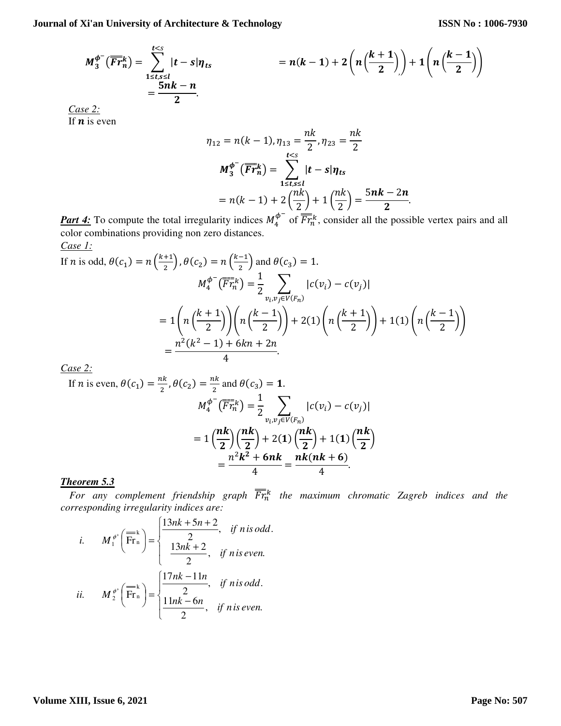$$
M_3^{\phi^-}(\overline{Fr}_n^k) = \sum_{\substack{1 \le t,s \le l \\ 2}}^{t < s} |t - s|\eta_{ts} = n(k-1) + 2\left(n\left(\frac{k+1}{2}\right)\right) + 1\left(n\left(\frac{k-1}{2}\right)\right)
$$

*Case 2:* If  $\boldsymbol{n}$  is even

$$
\eta_{12} = n(k-1), \eta_{13} = \frac{nk}{2}, \eta_{23} = \frac{nk}{2}
$$

$$
M_3^{\phi^-}(\overline{Fr}_n^k) = \sum_{1 \le t,s \le l}^{t
$$
= n(k-1) + 2\left(\frac{nk}{2}\right) + 1\left(\frac{nk}{2}\right) = \frac{5nk - 2n}{2}.
$$
$$

*Part 4:* To compute the total irregularity indices  $M_4^{\phi^-}$  of  $\overline{Fr}^k_n$ , consider all the possible vertex pairs and all color combinations providing non zero distances. *Case 1:*

If *n* is odd, 
$$
\theta(c_1) = n\left(\frac{k+1}{2}\right), \theta(c_2) = n\left(\frac{k-1}{2}\right)
$$
 and  $\theta(c_3) = 1$ .  
\n
$$
M_4^{\phi^-}(\overline{Fr}_n^k) = \frac{1}{2} \sum_{v_i, v_j \in V(F_n)} |c(v_i) - c(v_j)|
$$
\n
$$
= 1\left(n\left(\frac{k+1}{2}\right)\right)\left(n\left(\frac{k-1}{2}\right)\right) + 2(1)\left(n\left(\frac{k+1}{2}\right)\right) + 1(1)\left(n\left(\frac{k-1}{2}\right)\right)
$$
\n
$$
= \frac{n^2(k^2 - 1) + 6kn + 2n}{4}.
$$

*Case 2:*

If *n* is even, 
$$
\theta(c_1) = \frac{nk}{2}
$$
,  $\theta(c_2) = \frac{nk}{2}$  and  $\theta(c_3) = 1$ .  
\n
$$
M_4^{\phi^-}(\overline{Fr}_n^k) = \frac{1}{2} \sum_{v_i, v_j \in V(F_n)} |c(v_i) - c(v_j)|
$$
\n
$$
= 1 \left(\frac{n k}{2}\right) \left(\frac{n k}{2}\right) + 2(1) \left(\frac{n k}{2}\right) + 1(1) \left(\frac{n k}{2}\right)
$$
\n
$$
= \frac{n^2 k^2 + 6nk}{4} = \frac{n k(nk + 6)}{4}
$$

## *Theorem 5.3*

For any complement friendship graph  $\overline{Fr}^k_n$  the maximum chromatic Zagreb indices and the *corresponding irregularity indices are:* 

*i.* + + + = + , . 2 13 2 , . 2 13 5 2 Fr k n 1 *if isn even nk if isn odd nk <sup>n</sup> M* φ *ii.* − − = + , . 2 11 6 , . 2 17 11 Fr k n 2 *if isn even nk n if isn odd nk <sup>n</sup> M* φ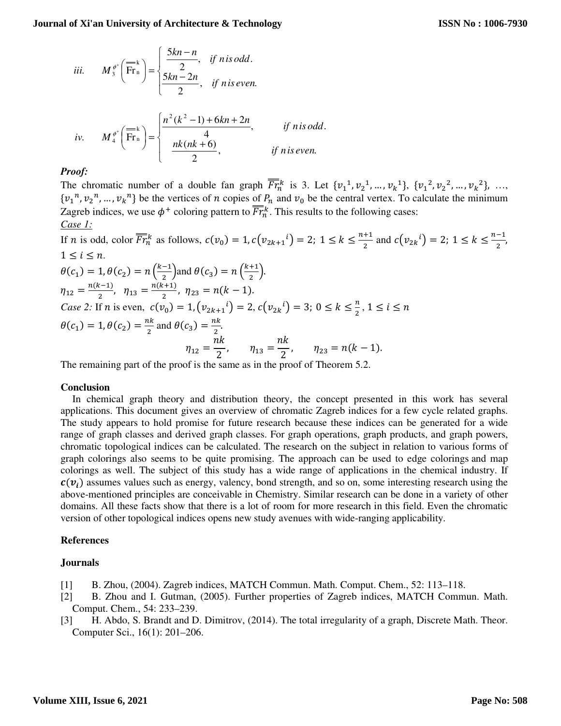iii. 
$$
M_3^{\phi^*} \left( \overline{Fr_n} \right) = \begin{cases} \frac{5kn - n}{2}, & \text{if } n \text{ is odd.} \\ \frac{5kn - 2n}{2}, & \text{if } n \text{ is even.} \end{cases}
$$

$$
\left( n^2 (k^2 - 1) + 6kn + 2n \right)
$$

*iv.* 
$$
M_4^{\phi^+}\left(\overline{\text{Fr}}_n^k\right) = \begin{cases} \frac{n^2(k^2-1)+6kn+2n}{4}, & \text{if n is odd.} \\ \frac{nk(nk+6)}{2}, & \text{if n is even.} \end{cases}
$$

The chromatic number of a double fan graph  $\overline{Fr}_n^k$  is 3. Let  $\{v_1^1, v_2^1, ..., v_k^1\}, \{v_1^2, v_2^2, ..., v_k^2\}, ...,$  $\{v_1^n, v_2^n, ..., v_k^n\}$  be the vertices of *n* copies of  $P_n$  and  $v_0$  be the central vertex. To calculate the minimum Zagreb indices, we use  $\phi^+$  coloring pattern to  $\overline{Fr}^k$ . This results to the following cases: *Case 1:*

If *n* is odd, color  $\overline{Fr}_n^k$  as follows,  $c(v_0) = 1, c(v_{2k+1}^i) = 2$ ;  $1 \le k \le \frac{n+1}{2}$  $\frac{+1}{2}$  and  $c(v_{2k}^i) = 2$ ;  $1 \le k \le \frac{n-1}{2}$  $\frac{-1}{2}$  $1 \le i \le n$ .  $\theta(c_1) = 1, \theta(c_2) = n\left(\frac{k-1}{2}\right)$  and  $\theta(c_3) = n\left(\frac{k+1}{2}\right)$ .  $\eta_{12} = \frac{n(k-1)}{2}$  $\frac{(k-1)}{2}$ ,  $\eta_{13} = \frac{n(k+1)}{2}$  $\frac{\eta_{1}}{2}$ ,  $\eta_{23} = n(k-1)$ . *Case 2:* If *n* is even,  $c(v_0) = 1$ ,  $(v_{2k+1}^i) = 2$ ,  $c(v_{2k}^i) = 3$ ;  $0 \le k \le \frac{n}{2}$ ,  $1 \le i \le n$  $\theta(c_1) = 1, \theta(c_2) = \frac{nk}{2}$  $rac{ik}{2}$  and  $\theta(c_3) = \frac{nk}{2}$  $\frac{1}{2}$ .  $\eta_{12} =$  $nk$  $\frac{1}{2}$ ,  $\eta_{13} =$  $nk$  $\frac{\pi}{2}$ ,  $\eta_{23} = n(k-1)$ .

The remaining part of the proof is the same as in the proof of Theorem 5.2.

## **Conclusion**

In chemical graph theory and distribution theory, the concept presented in this work has several applications. This document gives an overview of chromatic Zagreb indices for a few cycle related graphs. The study appears to hold promise for future research because these indices can be generated for a wide range of graph classes and derived graph classes. For graph operations, graph products, and graph powers, chromatic topological indices can be calculated. The research on the subject in relation to various forms of graph colorings also seems to be quite promising. The approach can be used to edge colorings and map colorings as well. The subject of this study has a wide range of applications in the chemical industry. If  $c(v_i)$  assumes values such as energy, valency, bond strength, and so on, some interesting research using the above-mentioned principles are conceivable in Chemistry. Similar research can be done in a variety of other domains. All these facts show that there is a lot of room for more research in this field. Even the chromatic version of other topological indices opens new study avenues with wide-ranging applicability.

## **References**

## **Journals**

- [1] B. Zhou, (2004). Zagreb indices, MATCH Commun. Math. Comput. Chem., 52: 113–118.
- [2] B. Zhou and I. Gutman, (2005). Further properties of Zagreb indices, MATCH Commun. Math. Comput. Chem., 54: 233–239.
- [3] H. Abdo, S. Brandt and D. Dimitrov, (2014). The total irregularity of a graph, Discrete Math. Theor. Computer Sci., 16(1): 201–206.